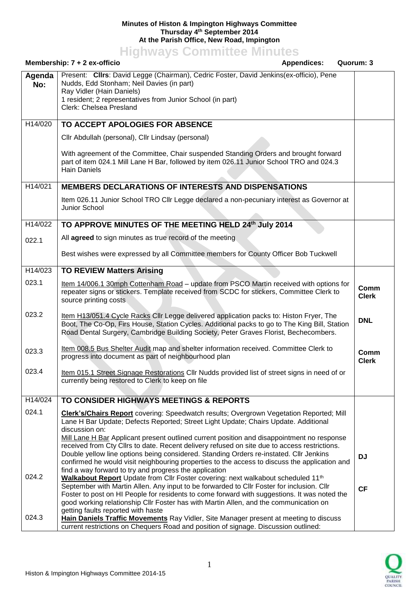## **Minutes of Histon & Impington Highways Committee Thursday 4 th September 2014 At the Parish Office, New Road, Impington**

**Highways Committee Minutes**

|               | Membership: 7 + 2 ex-officio                                                                                                                                                                                                                                                     | <b>Appendices:</b> | Quorum: 3            |
|---------------|----------------------------------------------------------------------------------------------------------------------------------------------------------------------------------------------------------------------------------------------------------------------------------|--------------------|----------------------|
| Agenda<br>No: | Present: Clirs: David Legge (Chairman), Cedric Foster, David Jenkins(ex-officio), Pene<br>Nudds, Edd Stonham; Neil Davies (in part)<br>Ray Vidler (Hain Daniels)<br>1 resident; 2 representatives from Junior School (in part)<br>Clerk: Chelsea Presland                        |                    |                      |
| H14/020       | TO ACCEPT APOLOGIES FOR ABSENCE                                                                                                                                                                                                                                                  |                    |                      |
|               | Cllr Abdullah (personal), Cllr Lindsay (personal)                                                                                                                                                                                                                                |                    |                      |
|               | With agreement of the Committee, Chair suspended Standing Orders and brought forward<br>part of item 024.1 Mill Lane H Bar, followed by item 026.11 Junior School TRO and 024.3<br><b>Hain Daniels</b>                                                                           |                    |                      |
| H14/021       | <b>MEMBERS DECLARATIONS OF INTERESTS AND DISPENSATIONS</b>                                                                                                                                                                                                                       |                    |                      |
|               | Item 026.11 Junior School TRO Cllr Legge declared a non-pecuniary interest as Governor at<br>Junior School                                                                                                                                                                       |                    |                      |
| H14/022       | TO APPROVE MINUTES OF THE MEETING HELD 24th July 2014                                                                                                                                                                                                                            |                    |                      |
| 022.1         | All agreed to sign minutes as true record of the meeting                                                                                                                                                                                                                         |                    |                      |
|               | Best wishes were expressed by all Committee members for County Officer Bob Tuckwell                                                                                                                                                                                              |                    |                      |
| H14/023       | <b>TO REVIEW Matters Arising</b>                                                                                                                                                                                                                                                 |                    |                      |
| 023.1         | Item 14/006.1 30mph Cottenham Road - update from PSCO Martin received with options for<br>repeater signs or stickers. Template received from SCDC for stickers, Committee Clerk to<br>source printing costs                                                                      |                    | Comm<br><b>Clerk</b> |
| 023.2         | Item H13/051.4 Cycle Racks Cllr Legge delivered application packs to: Histon Fryer, The<br>Boot, The Co-Op, Firs House, Station Cycles. Additional packs to go to The King Bill, Station<br>Road Dental Surgery, Cambridge Building Society, Peter Graves Florist, Bechecombers. |                    | <b>DNL</b>           |
| 023.3         | Item 008.5 Bus Shelter Audit map and shelter information received. Committee Clerk to<br>progress into document as part of neighbourhood plan                                                                                                                                    |                    | Comm<br><b>Clerk</b> |
| 023.4         | Item 015.1 Street Signage Restorations Cllr Nudds provided list of street signs in need of or<br>currently being restored to Clerk to keep on file                                                                                                                               |                    |                      |
| H14/024       | TO CONSIDER HIGHWAYS MEETINGS & REPORTS                                                                                                                                                                                                                                          |                    |                      |
| 024.1         | Clerk's/Chairs Report covering: Speedwatch results; Overgrown Vegetation Reported; Mill<br>Lane H Bar Update; Defects Reported; Street Light Update; Chairs Update. Additional                                                                                                   |                    |                      |
|               | discussion on:                                                                                                                                                                                                                                                                   |                    |                      |
|               | Mill Lane H Bar Applicant present outlined current position and disappointment no response<br>received from Cty Cllrs to date. Recent delivery refused on site due to access restrictions.                                                                                       |                    |                      |
|               | Double yellow line options being considered. Standing Orders re-instated. Cllr Jenkins                                                                                                                                                                                           |                    | <b>DJ</b>            |
|               | confirmed he would visit neighbouring properties to the access to discuss the application and                                                                                                                                                                                    |                    |                      |
| 024.2         | find a way forward to try and progress the application                                                                                                                                                                                                                           |                    |                      |
|               | Walkabout Report Update from Cllr Foster covering: next walkabout scheduled 11 <sup>th</sup><br>September with Martin Allen. Any input to be forwarded to Cllr Foster for inclusion. Cllr                                                                                        |                    |                      |
|               | Foster to post on HI People for residents to come forward with suggestions. It was noted the                                                                                                                                                                                     |                    | <b>CF</b>            |
|               | good working relationship Cllr Foster has with Martin Allen, and the communication on                                                                                                                                                                                            |                    |                      |
| 024.3         | getting faults reported with haste                                                                                                                                                                                                                                               |                    |                      |
|               | Hain Daniels Traffic Movements Ray Vidler, Site Manager present at meeting to discuss<br>current restrictions on Chequers Road and position of signage. Discussion outlined:                                                                                                     |                    |                      |

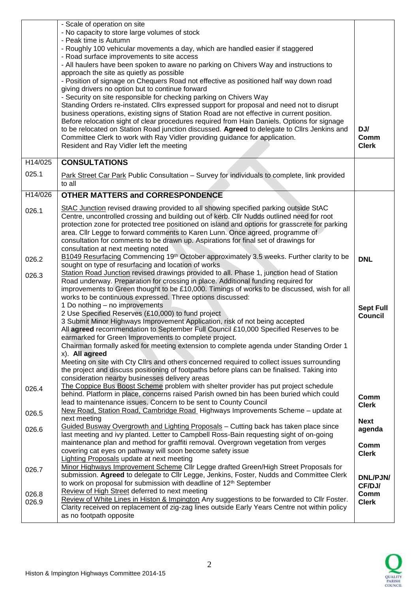|                      | - Scale of operation on site<br>- No capacity to store large volumes of stock<br>- Peak time is Autumn<br>- Roughly 100 vehicular movements a day, which are handled easier if staggered<br>- Road surface improvements to site access<br>- All haulers have been spoken to aware no parking on Chivers Way and instructions to<br>approach the site as quietly as possible<br>- Position of signage on Chequers Road not effective as positioned half way down road<br>giving drivers no option but to continue forward<br>- Security on site responsible for checking parking on Chivers Way<br>Standing Orders re-instated. Cllrs expressed support for proposal and need not to disrupt<br>business operations, existing signs of Station Road are not effective in current position.<br>Before relocation sight of clear procedures required from Hain Daniels. Options for signage<br>to be relocated on Station Road junction discussed. Agreed to delegate to Cllrs Jenkins and<br>Committee Clerk to work with Ray Vidler providing guidance for application.<br>Resident and Ray Vidler left the meeting | DJ/<br>Comm<br><b>Clerk</b>        |
|----------------------|--------------------------------------------------------------------------------------------------------------------------------------------------------------------------------------------------------------------------------------------------------------------------------------------------------------------------------------------------------------------------------------------------------------------------------------------------------------------------------------------------------------------------------------------------------------------------------------------------------------------------------------------------------------------------------------------------------------------------------------------------------------------------------------------------------------------------------------------------------------------------------------------------------------------------------------------------------------------------------------------------------------------------------------------------------------------------------------------------------------------|------------------------------------|
| H <sub>14</sub> /025 | <b>CONSULTATIONS</b>                                                                                                                                                                                                                                                                                                                                                                                                                                                                                                                                                                                                                                                                                                                                                                                                                                                                                                                                                                                                                                                                                               |                                    |
| 025.1                | Park Street Car Park Public Consultation - Survey for individuals to complete, link provided<br>to all                                                                                                                                                                                                                                                                                                                                                                                                                                                                                                                                                                                                                                                                                                                                                                                                                                                                                                                                                                                                             |                                    |
| H14/026              | <b>OTHER MATTERS and CORRESPONDENCE</b>                                                                                                                                                                                                                                                                                                                                                                                                                                                                                                                                                                                                                                                                                                                                                                                                                                                                                                                                                                                                                                                                            |                                    |
| 026.1                | StAC Junction revised drawing provided to all showing specified parking outside StAC<br>Centre, uncontrolled crossing and building out of kerb. Cllr Nudds outlined need for root<br>protection zone for protected tree positioned on island and options for grasscrete for parking<br>area. Cllr Legge to forward comments to Karen Lunn. Once agreed, programme of<br>consultation for comments to be drawn up. Aspirations for final set of drawings for<br>consultation at next meeting noted                                                                                                                                                                                                                                                                                                                                                                                                                                                                                                                                                                                                                  |                                    |
| 026.2                | B1049 Resurfacing Commencing 19 <sup>th</sup> October approximately 3.5 weeks. Further clarity to be<br>sought on type of resurfacing and location of works                                                                                                                                                                                                                                                                                                                                                                                                                                                                                                                                                                                                                                                                                                                                                                                                                                                                                                                                                        | <b>DNL</b>                         |
| 026.3                | Station Road Junction revised drawings provided to all. Phase 1, junction head of Station<br>Road underway. Preparation for crossing in place. Additional funding required for<br>improvements to Green thought to be £10,000. Timings of works to be discussed, wish for all<br>works to be continuous expressed. Three options discussed:                                                                                                                                                                                                                                                                                                                                                                                                                                                                                                                                                                                                                                                                                                                                                                        |                                    |
|                      | 1 Do nothing - no improvements<br>2 Use Specified Reserves (£10,000) to fund project<br>3 Submit Minor Highways Improvement Application, risk of not being accepted<br>All agreed recommendation to September Full Council £10,000 Specified Reserves to be<br>earmarked for Green Improvements to complete project.<br>Chairman formally asked for meeting extension to complete agenda under Standing Order 1                                                                                                                                                                                                                                                                                                                                                                                                                                                                                                                                                                                                                                                                                                    | <b>Sept Full</b><br><b>Council</b> |
|                      | x). All agreed<br>Meeting on site with Cty Cllrs and others concerned required to collect issues surrounding<br>the project and discuss positioning of footpaths before plans can be finalised. Taking into<br>consideration nearby businesses delivery areas                                                                                                                                                                                                                                                                                                                                                                                                                                                                                                                                                                                                                                                                                                                                                                                                                                                      |                                    |
| 026.4                | The Coppice Bus Boost Scheme problem with shelter provider has put project schedule<br>behind. Platform in place, concerns raised Parish owned bin has been buried which could<br>lead to maintenance issues. Concern to be sent to County Council<br>New Road, Station Road, Cambridge Road_Highways Improvements Scheme - update at                                                                                                                                                                                                                                                                                                                                                                                                                                                                                                                                                                                                                                                                                                                                                                              | Comm<br><b>Clerk</b>               |
| 026.5                | next meeting                                                                                                                                                                                                                                                                                                                                                                                                                                                                                                                                                                                                                                                                                                                                                                                                                                                                                                                                                                                                                                                                                                       | <b>Next</b>                        |
| 026.6                | Guided Busway Overgrowth and Lighting Proposals - Cutting back has taken place since<br>last meeting and ivy planted. Letter to Campbell Ross-Bain requesting sight of on-going<br>maintenance plan and method for graffiti removal. Overgrown vegetation from verges<br>covering cat eyes on pathway will soon become safety issue                                                                                                                                                                                                                                                                                                                                                                                                                                                                                                                                                                                                                                                                                                                                                                                | agenda<br>Comm<br><b>Clerk</b>     |
| 026.7                | <b>Lighting Proposals update at next meeting</b><br>Minor Highways Improvement Scheme Cllr Legge drafted Green/High Street Proposals for<br>submission. Agreed to delegate to Cllr Legge, Jenkins, Foster, Nudds and Committee Clerk<br>to work on proposal for submission with deadline of 12 <sup>th</sup> September                                                                                                                                                                                                                                                                                                                                                                                                                                                                                                                                                                                                                                                                                                                                                                                             | DNL/PJN/<br>CF/DJ/                 |
| 026.8<br>026.9       | Review of High Street deferred to next meeting<br>Review of White Lines in Histon & Impington Any suggestions to be forwarded to Cllr Foster.<br>Clarity received on replacement of zig-zag lines outside Early Years Centre not within policy<br>as no footpath opposite                                                                                                                                                                                                                                                                                                                                                                                                                                                                                                                                                                                                                                                                                                                                                                                                                                          | Comm<br><b>Clerk</b>               |